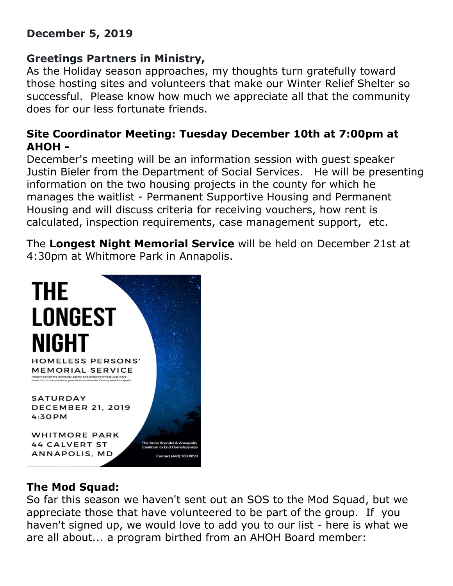### **December 5, 2019**

# **Greetings Partners in Ministry,**

As the Holiday season approaches, my thoughts turn gratefully toward those hosting sites and volunteers that make our Winter Relief Shelter so successful. Please know how much we appreciate all that the community does for our less fortunate friends.

## **Site Coordinator Meeting: Tuesday December 10th at 7:00pm at AHOH -**

December's meeting will be an information session with guest speaker Justin Bieler from the Department of Social Services. He will be presenting information on the two housing projects in the county for which he manages the waitlist - Permanent Supportive Housing and Permanent Housing and will discuss criteria for receiving vouchers, how rent is calculated, inspection requirements, case management support, etc.

The **Longest Night Memorial Service** will be held on December 21st at 4:30pm at Whitmore Park in Annapolis.



# **The Mod Squad:**

So far this season we haven't sent out an SOS to the Mod Squad, but we appreciate those that have volunteered to be part of the group. If you haven't signed up, we would love to add you to our list - here is what we are all about... a program birthed from an AHOH Board member: